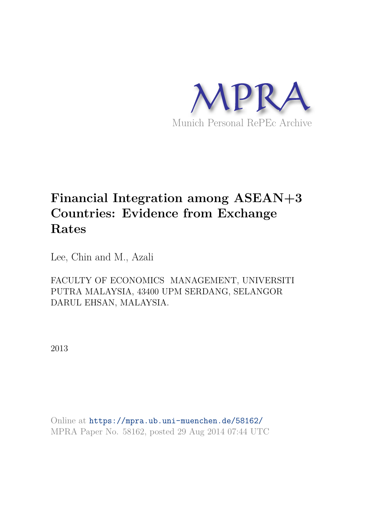

# **Financial Integration among ASEAN+3 Countries: Evidence from Exchange Rates**

Lee, Chin and M., Azali

FACULTY OF ECONOMICS MANAGEMENT, UNIVERSITI PUTRA MALAYSIA, 43400 UPM SERDANG, SELANGOR DARUL EHSAN, MALAYSIA.

2013

Online at https://mpra.ub.uni-muenchen.de/58162/ MPRA Paper No. 58162, posted 29 Aug 2014 07:44 UTC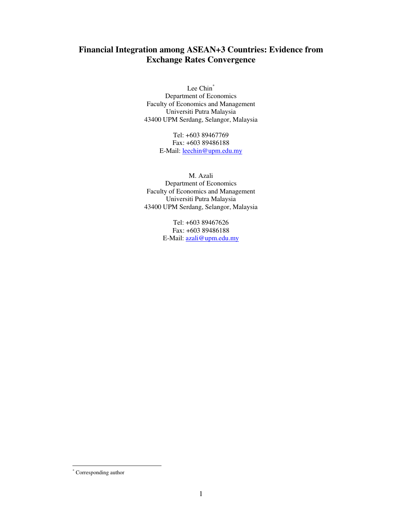# **Financial Integration among ASEAN+3 Countries: Evidence from Exchange Rates Convergence**

Lee Chin<sup>\*</sup> Department of Economics Faculty of Economics and Management Universiti Putra Malaysia 43400 UPM Serdang, Selangor, Malaysia

> Tel: +603 89467769 Fax: +603 89486188 E-Mail: **leechin@upm.edu.my**

M. Azali Department of Economics Faculty of Economics and Management Universiti Putra Malaysia 43400 UPM Serdang, Selangor, Malaysia

> Tel: +603 89467626 Fax: +603 89486188 E-Mail: azali@upm.edu.my

-

<sup>\*</sup> Corresponding author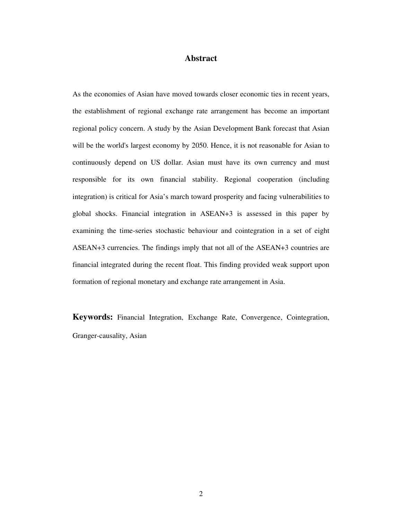# **Abstract**

As the economies of Asian have moved towards closer economic ties in recent years, the establishment of regional exchange rate arrangement has become an important regional policy concern. A study by the Asian Development Bank forecast that Asian will be the world's largest economy by 2050. Hence, it is not reasonable for Asian to continuously depend on US dollar. Asian must have its own currency and must responsible for its own financial stability. Regional cooperation (including integration) is critical for Asia's march toward prosperity and facing vulnerabilities to global shocks. Financial integration in ASEAN+3 is assessed in this paper by examining the time-series stochastic behaviour and cointegration in a set of eight ASEAN+3 currencies. The findings imply that not all of the ASEAN+3 countries are financial integrated during the recent float. This finding provided weak support upon formation of regional monetary and exchange rate arrangement in Asia.

**Keywords:** Financial Integration, Exchange Rate, Convergence, Cointegration, Granger-causality, Asian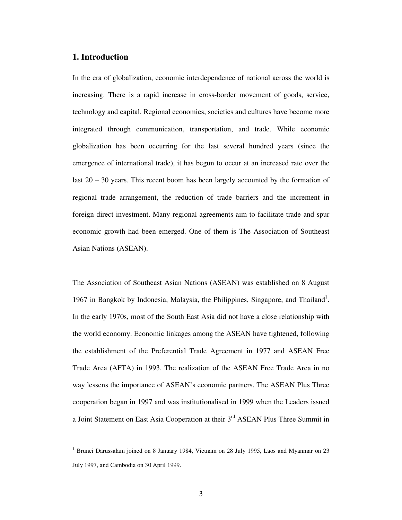## **1. Introduction**

-

In the era of globalization, economic interdependence of national across the world is increasing. There is a rapid increase in cross-border movement of goods, service, technology and capital. Regional economies, societies and cultures have become more integrated through communication, transportation, and trade. While economic globalization has been occurring for the last several hundred years (since the emergence of international trade), it has begun to occur at an increased rate over the last 20 – 30 years. This recent boom has been largely accounted by the formation of regional trade arrangement, the reduction of trade barriers and the increment in foreign direct investment. Many regional agreements aim to facilitate trade and spur economic growth had been emerged. One of them is The Association of Southeast Asian Nations (ASEAN).

The Association of Southeast Asian Nations (ASEAN) was established on 8 August 1967 in Bangkok by Indonesia, Malaysia, the Philippines, Singapore, and Thailand<sup>1</sup>. In the early 1970s, most of the South East Asia did not have a close relationship with the world economy. Economic linkages among the ASEAN have tightened, following the establishment of the Preferential Trade Agreement in 1977 and ASEAN Free Trade Area (AFTA) in 1993. The realization of the ASEAN Free Trade Area in no way lessens the importance of ASEAN's economic partners. The ASEAN Plus Three cooperation began in 1997 and was institutionalised in 1999 when the Leaders issued a Joint Statement on East Asia Cooperation at their 3rd ASEAN Plus Three Summit in

<sup>&</sup>lt;sup>1</sup> Brunei Darussalam joined on 8 January 1984, Vietnam on 28 July 1995, Laos and Myanmar on 23 July 1997, and Cambodia on 30 April 1999.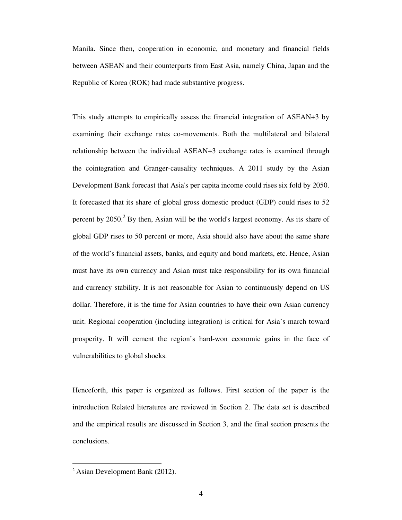Manila. Since then, cooperation in economic, and monetary and financial fields between ASEAN and their counterparts from East Asia, namely China, Japan and the Republic of Korea (ROK) had made substantive progress.

This study attempts to empirically assess the financial integration of ASEAN+3 by examining their exchange rates co-movements. Both the multilateral and bilateral relationship between the individual ASEAN+3 exchange rates is examined through the cointegration and Granger-causality techniques. A 2011 study by the Asian Development Bank forecast that Asia's per capita income could rises six fold by 2050. It forecasted that its share of global gross domestic product (GDP) could rises to 52 percent by  $2050$ .<sup>2</sup> By then, Asian will be the world's largest economy. As its share of global GDP rises to 50 percent or more, Asia should also have about the same share of the world's financial assets, banks, and equity and bond markets, etc. Hence, Asian must have its own currency and Asian must take responsibility for its own financial and currency stability. It is not reasonable for Asian to continuously depend on US dollar. Therefore, it is the time for Asian countries to have their own Asian currency unit. Regional cooperation (including integration) is critical for Asia's march toward prosperity. It will cement the region's hard-won economic gains in the face of vulnerabilities to global shocks.

Henceforth, this paper is organized as follows. First section of the paper is the introduction Related literatures are reviewed in Section 2. The data set is described and the empirical results are discussed in Section 3, and the final section presents the conclusions.

-

 $2$  Asian Development Bank (2012).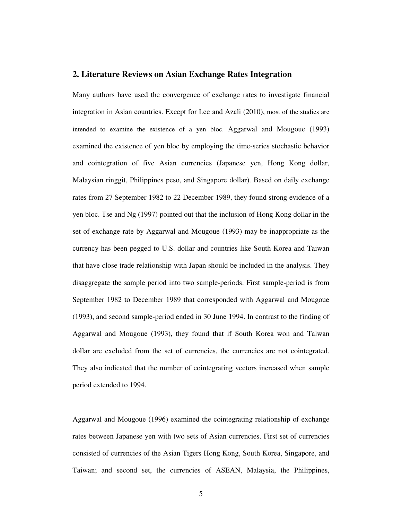### **2. Literature Reviews on Asian Exchange Rates Integration**

Many authors have used the convergence of exchange rates to investigate financial integration in Asian countries. Except for Lee and Azali (2010), most of the studies are intended to examine the existence of a yen bloc. Aggarwal and Mougoue (1993) examined the existence of yen bloc by employing the time-series stochastic behavior and cointegration of five Asian currencies (Japanese yen, Hong Kong dollar, Malaysian ringgit, Philippines peso, and Singapore dollar). Based on daily exchange rates from 27 September 1982 to 22 December 1989, they found strong evidence of a yen bloc. Tse and Ng (1997) pointed out that the inclusion of Hong Kong dollar in the set of exchange rate by Aggarwal and Mougoue (1993) may be inappropriate as the currency has been pegged to U.S. dollar and countries like South Korea and Taiwan that have close trade relationship with Japan should be included in the analysis. They disaggregate the sample period into two sample-periods. First sample-period is from September 1982 to December 1989 that corresponded with Aggarwal and Mougoue (1993), and second sample-period ended in 30 June 1994. In contrast to the finding of Aggarwal and Mougoue (1993), they found that if South Korea won and Taiwan dollar are excluded from the set of currencies, the currencies are not cointegrated. They also indicated that the number of cointegrating vectors increased when sample period extended to 1994.

Aggarwal and Mougoue (1996) examined the cointegrating relationship of exchange rates between Japanese yen with two sets of Asian currencies. First set of currencies consisted of currencies of the Asian Tigers Hong Kong, South Korea, Singapore, and Taiwan; and second set, the currencies of ASEAN, Malaysia, the Philippines,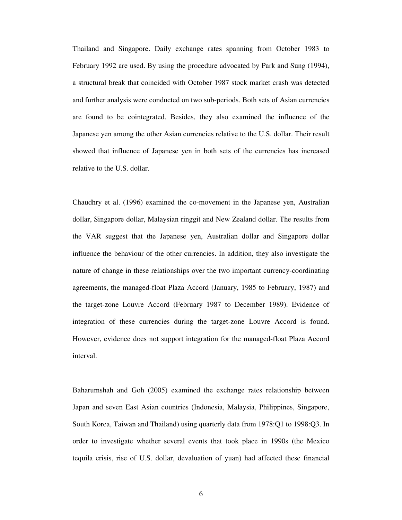Thailand and Singapore. Daily exchange rates spanning from October 1983 to February 1992 are used. By using the procedure advocated by Park and Sung (1994), a structural break that coincided with October 1987 stock market crash was detected and further analysis were conducted on two sub-periods. Both sets of Asian currencies are found to be cointegrated. Besides, they also examined the influence of the Japanese yen among the other Asian currencies relative to the U.S. dollar. Their result showed that influence of Japanese yen in both sets of the currencies has increased relative to the U.S. dollar.

Chaudhry et al. (1996) examined the co-movement in the Japanese yen, Australian dollar, Singapore dollar, Malaysian ringgit and New Zealand dollar. The results from the VAR suggest that the Japanese yen, Australian dollar and Singapore dollar influence the behaviour of the other currencies. In addition, they also investigate the nature of change in these relationships over the two important currency-coordinating agreements, the managed-float Plaza Accord (January, 1985 to February, 1987) and the target-zone Louvre Accord (February 1987 to December 1989). Evidence of integration of these currencies during the target-zone Louvre Accord is found. However, evidence does not support integration for the managed-float Plaza Accord interval.

Baharumshah and Goh (2005) examined the exchange rates relationship between Japan and seven East Asian countries (Indonesia, Malaysia, Philippines, Singapore, South Korea, Taiwan and Thailand) using quarterly data from 1978:Q1 to 1998:Q3. In order to investigate whether several events that took place in 1990s (the Mexico tequila crisis, rise of U.S. dollar, devaluation of yuan) had affected these financial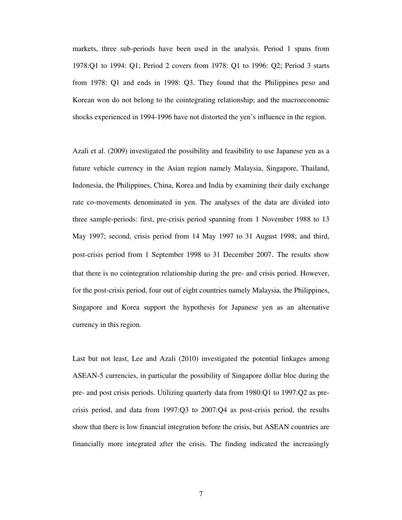markets, three sub-periods have been used in the analysis. Period 1 spans from 1978:Q1 to 1994: Q1; Period 2 covers from 1978: Q1 to 1996: Q2; Period 3 starts from 1978: Q1 and ends in 1998: Q3. They found that the Philippines peso and Korean won do not belong to the cointegrating relationship; and the macroeconomic shocks experienced in 1994-1996 have not distorted the yen's influence in the region.

Azali et al. (2009) investigated the possibility and feasibility to use Japanese yen as a future vehicle currency in the Asian region namely Malaysia, Singapore, Thailand, Indonesia, the Philippines, China, Korea and India by examining their daily exchange rate co-movements denominated in yen. The analyses of the data are divided into three sample-periods: first, pre-crisis period spanning from 1 November 1988 to 13 May 1997; second, crisis period from 14 May 1997 to 31 August 1998; and third, post-crisis period from 1 September 1998 to 31 December 2007. The results show that there is no cointegration relationship during the pre- and crisis period. However, for the post-crisis period, four out of eight countries namely Malaysia, the Philippines, Singapore and Korea support the hypothesis for Japanese yen as an alternative currency in this region.

Last but not least, Lee and Azali (2010) investigated the potential linkages among ASEAN-5 currencies, in particular the possibility of Singapore dollar bloc during the pre- and post crisis periods. Utilizing quarterly data from 1980:Q1 to 1997:Q2 as precrisis period, and data from 1997:Q3 to 2007:Q4 as post-crisis period, the results show that there is low financial integration before the crisis, but ASEAN countries are financially more integrated after the crisis. The finding indicated the increasingly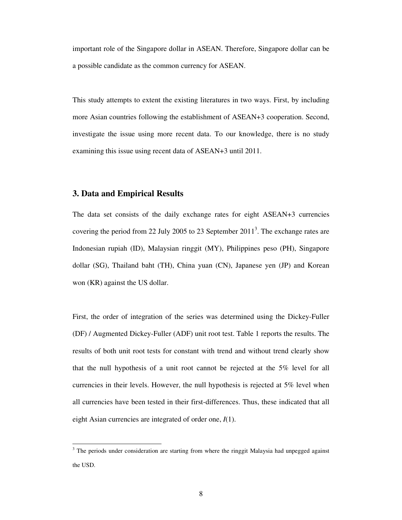important role of the Singapore dollar in ASEAN. Therefore, Singapore dollar can be a possible candidate as the common currency for ASEAN.

This study attempts to extent the existing literatures in two ways. First, by including more Asian countries following the establishment of ASEAN+3 cooperation. Second, investigate the issue using more recent data. To our knowledge, there is no study examining this issue using recent data of ASEAN+3 until 2011.

## **3. Data and Empirical Results**

-

The data set consists of the daily exchange rates for eight ASEAN+3 currencies covering the period from 22 July 2005 to 23 September  $2011<sup>3</sup>$ . The exchange rates are Indonesian rupiah (ID), Malaysian ringgit (MY), Philippines peso (PH), Singapore dollar (SG), Thailand baht (TH), China yuan (CN), Japanese yen (JP) and Korean won (KR) against the US dollar.

First, the order of integration of the series was determined using the Dickey-Fuller (DF) / Augmented Dickey-Fuller (ADF) unit root test. Table 1 reports the results. The results of both unit root tests for constant with trend and without trend clearly show that the null hypothesis of a unit root cannot be rejected at the 5% level for all currencies in their levels. However, the null hypothesis is rejected at 5% level when all currencies have been tested in their first-differences. Thus, these indicated that all eight Asian currencies are integrated of order one, *I*(1).

 $3$  The periods under consideration are starting from where the ringgit Malaysia had unpegged against the USD.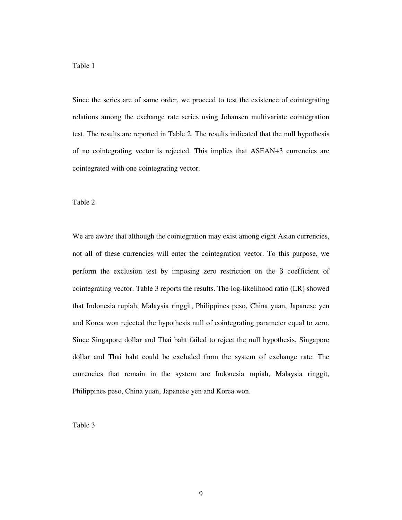Since the series are of same order, we proceed to test the existence of cointegrating relations among the exchange rate series using Johansen multivariate cointegration test. The results are reported in Table 2. The results indicated that the null hypothesis of no cointegrating vector is rejected. This implies that ASEAN+3 currencies are cointegrated with one cointegrating vector.

#### Table 2

We are aware that although the cointegration may exist among eight Asian currencies, not all of these currencies will enter the cointegration vector. To this purpose, we perform the exclusion test by imposing zero restriction on the β coefficient of cointegrating vector. Table 3 reports the results. The log-likelihood ratio (LR) showed that Indonesia rupiah, Malaysia ringgit, Philippines peso, China yuan, Japanese yen and Korea won rejected the hypothesis null of cointegrating parameter equal to zero. Since Singapore dollar and Thai baht failed to reject the null hypothesis, Singapore dollar and Thai baht could be excluded from the system of exchange rate. The currencies that remain in the system are Indonesia rupiah, Malaysia ringgit, Philippines peso, China yuan, Japanese yen and Korea won.

Table 3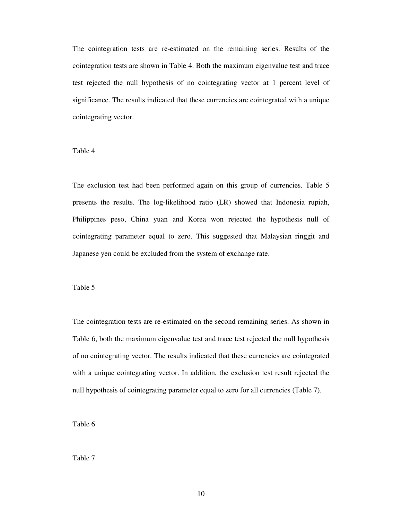The cointegration tests are re-estimated on the remaining series. Results of the cointegration tests are shown in Table 4. Both the maximum eigenvalue test and trace test rejected the null hypothesis of no cointegrating vector at 1 percent level of significance. The results indicated that these currencies are cointegrated with a unique cointegrating vector.

## Table 4

The exclusion test had been performed again on this group of currencies. Table 5 presents the results. The log-likelihood ratio (LR) showed that Indonesia rupiah, Philippines peso, China yuan and Korea won rejected the hypothesis null of cointegrating parameter equal to zero. This suggested that Malaysian ringgit and Japanese yen could be excluded from the system of exchange rate.

#### Table 5

The cointegration tests are re-estimated on the second remaining series. As shown in Table 6, both the maximum eigenvalue test and trace test rejected the null hypothesis of no cointegrating vector. The results indicated that these currencies are cointegrated with a unique cointegrating vector. In addition, the exclusion test result rejected the null hypothesis of cointegrating parameter equal to zero for all currencies (Table 7).

Table 6

Table 7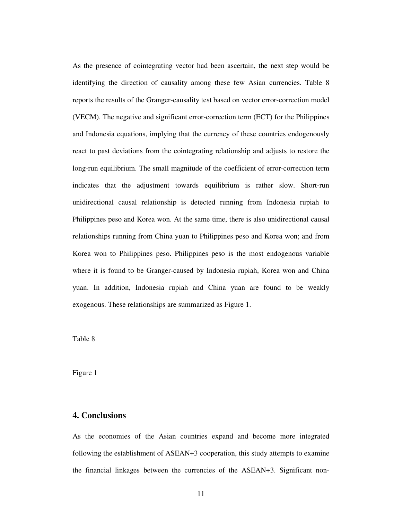As the presence of cointegrating vector had been ascertain, the next step would be identifying the direction of causality among these few Asian currencies. Table 8 reports the results of the Granger-causality test based on vector error-correction model (VECM). The negative and significant error-correction term (ECT) for the Philippines and Indonesia equations, implying that the currency of these countries endogenously react to past deviations from the cointegrating relationship and adjusts to restore the long-run equilibrium. The small magnitude of the coefficient of error-correction term indicates that the adjustment towards equilibrium is rather slow. Short-run unidirectional causal relationship is detected running from Indonesia rupiah to Philippines peso and Korea won. At the same time, there is also unidirectional causal relationships running from China yuan to Philippines peso and Korea won; and from Korea won to Philippines peso. Philippines peso is the most endogenous variable where it is found to be Granger-caused by Indonesia rupiah, Korea won and China yuan. In addition, Indonesia rupiah and China yuan are found to be weakly exogenous. These relationships are summarized as Figure 1.

Table 8

Figure 1

## **4. Conclusions**

As the economies of the Asian countries expand and become more integrated following the establishment of ASEAN+3 cooperation, this study attempts to examine the financial linkages between the currencies of the ASEAN+3. Significant non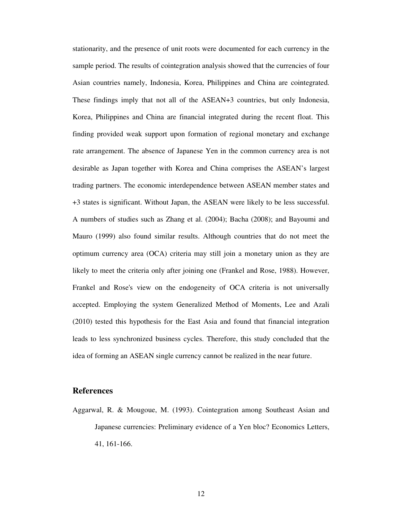stationarity, and the presence of unit roots were documented for each currency in the sample period. The results of cointegration analysis showed that the currencies of four Asian countries namely, Indonesia, Korea, Philippines and China are cointegrated. These findings imply that not all of the ASEAN+3 countries, but only Indonesia, Korea, Philippines and China are financial integrated during the recent float. This finding provided weak support upon formation of regional monetary and exchange rate arrangement. The absence of Japanese Yen in the common currency area is not desirable as Japan together with Korea and China comprises the ASEAN's largest trading partners. The economic interdependence between ASEAN member states and +3 states is significant. Without Japan, the ASEAN were likely to be less successful. A numbers of studies such as Zhang et al. (2004); Bacha (2008); and Bayoumi and Mauro (1999) also found similar results. Although countries that do not meet the optimum currency area (OCA) criteria may still join a monetary union as they are likely to meet the criteria only after joining one (Frankel and Rose, 1988). However, Frankel and Rose's view on the endogeneity of OCA criteria is not universally accepted. Employing the system Generalized Method of Moments, Lee and Azali (2010) tested this hypothesis for the East Asia and found that financial integration leads to less synchronized business cycles. Therefore, this study concluded that the idea of forming an ASEAN single currency cannot be realized in the near future.

## **References**

Aggarwal, R. & Mougoue, M. (1993). Cointegration among Southeast Asian and Japanese currencies: Preliminary evidence of a Yen bloc? Economics Letters, 41, 161-166.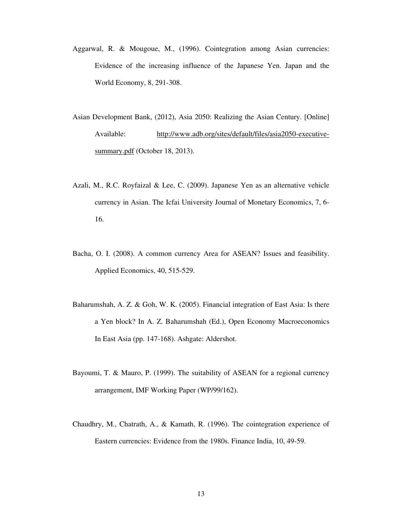- Aggarwal, R. & Mougoue, M., (1996). Cointegration among Asian currencies: Evidence of the increasing influence of the Japanese Yen. Japan and the World Economy, 8, 291-308.
- Asian Development Bank, (2012), Asia 2050: Realizing the Asian Century. [Online] Available: http://www.adb.org/sites/default/files/asia2050-executivesummary.pdf (October 18, 2013).
- Azali, M., R.C. Royfaizal & Lee, C. (2009). Japanese Yen as an alternative vehicle currency in Asian. The Icfai University Journal of Monetary Economics, 7, 6- 16.
- Bacha, O. I. (2008). A common currency Area for ASEAN? Issues and feasibility. Applied Economics, 40, 515-529.
- Baharumshah, A. Z. & Goh, W. K. (2005). Financial integration of East Asia: Is there a Yen block? In A. Z. Baharumshah (Ed.), Open Economy Macroeconomics In East Asia (pp. 147-168). Ashgate: Aldershot.
- Bayoumi, T. & Mauro, P. (1999). The suitability of ASEAN for a regional currency arrangement, IMF Working Paper (WP/99/162).
- Chaudhry, M., Chatrath, A., & Kamath, R. (1996). The cointegration experience of Eastern currencies: Evidence from the 1980s. Finance India, 10, 49-59.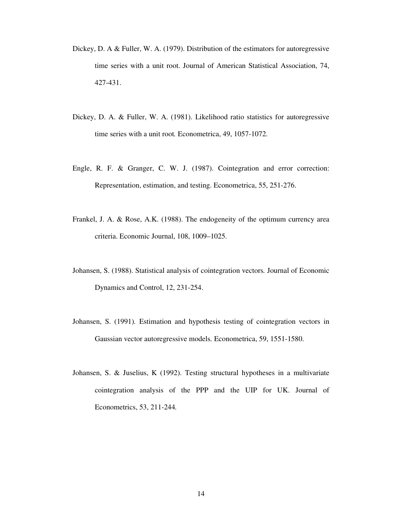- Dickey, D. A & Fuller, W. A. (1979). Distribution of the estimators for autoregressive time series with a unit root. Journal of American Statistical Association, 74, 427-431.
- Dickey, D. A. & Fuller, W. A. (1981). Likelihood ratio statistics for autoregressive time series with a unit root. Econometrica, 49, 1057-1072.
- Engle, R. F. & Granger, C. W. J. (1987). Cointegration and error correction: Representation, estimation, and testing. Econometrica, 55, 251-276.
- Frankel, J. A. & Rose, A.K. (1988). The endogeneity of the optimum currency area criteria. Economic Journal, 108, 1009–1025.
- Johansen, S. (1988). Statistical analysis of cointegration vectors*.* Journal of Economic Dynamics and Control, 12, 231-254.
- Johansen, S. (1991)*.* Estimation and hypothesis testing of cointegration vectors in Gaussian vector autoregressive models*.* Econometrica, 59, 1551-1580.
- Johansen, S. & Juselius, K (1992). Testing structural hypotheses in a multivariate cointegration analysis of the PPP and the UIP for UK. Journal of Econometrics, 53, 211-244*.*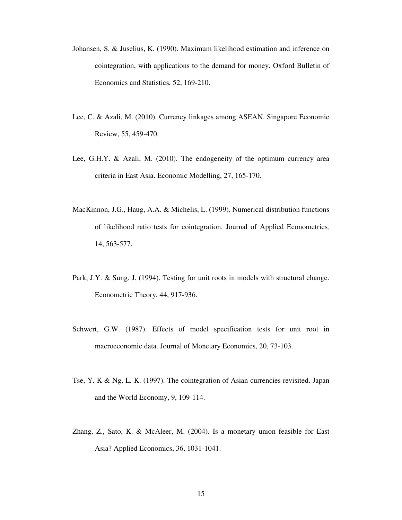- Johansen, S. & Juselius, K. (1990). Maximum likelihood estimation and inference on cointegration, with applications to the demand for money. Oxford Bulletin of Economics and Statistics, 52, 169-210.
- Lee, C. & Azali, M. (2010). Currency linkages among ASEAN. Singapore Economic Review, 55, 459-470.
- Lee, G.H.Y. & Azali, M. (2010). The endogeneity of the optimum currency area criteria in East Asia. Economic Modelling, 27, 165-170.
- MacKinnon, J.G., Haug, A.A. & Michelis, L. (1999). Numerical distribution functions of likelihood ratio tests for cointegration. Journal of Applied Econometrics*,*  14, 563-577.
- Park, J.Y. & Sung. J. (1994). Testing for unit roots in models with structural change. Econometric Theory, 44, 917-936.
- Schwert, G.W. (1987). Effects of model specification tests for unit root in macroeconomic data. Journal of Monetary Economics, 20, 73-103.
- Tse, Y. K & Ng, L. K. (1997). The cointegration of Asian currencies revisited. Japan and the World Economy, 9, 109-114.
- Zhang, Z., Sato, K. & McAleer, M. (2004). Is a monetary union feasible for East Asia? Applied Economics, 36, 1031-1041.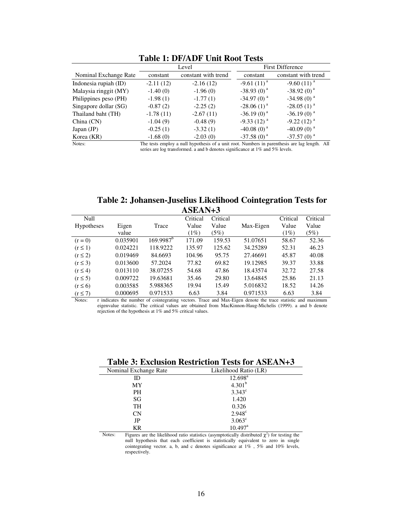|                       |             | Level               |  |                 | <b>First Difference</b>  |
|-----------------------|-------------|---------------------|--|-----------------|--------------------------|
| Nominal Exchange Rate | constant    | constant with trend |  | constant        | constant with trend      |
| Indonesia rupiah (ID) | $-2.11(12)$ | $-2.16(12)$         |  | $-9.61(11)^{a}$ | $-9.60(11)^{a}$          |
| Malaysia ringgit (MY) | $-1.40(0)$  | $-1.96(0)$          |  | $-38.93(0)^{a}$ | $-38.92(0)^{a}$          |
| Philippines peso (PH) | $-1.98(1)$  | $-1.77(1)$          |  | $-34.97(0)^{a}$ | $-34.98(0)^{a}$          |
| Singapore dollar (SG) | $-0.87(2)$  | $-2.25(2)$          |  | $-28.06(1)^{a}$ | $-28.05(1)^{a}$          |
| Thailand baht (TH)    | $-1.78(11)$ | $-2.67(11)$         |  | $-36.19(0)^{a}$ | $-36.19(0)^{a}$          |
| China (CN)            | $-1.04(9)$  | $-0.48(9)$          |  | $-9.33(12)^{a}$ | $-9.22(12)^{a}$          |
| Japan (JP)            | $-0.25(1)$  | $-3.32(1)$          |  | $-40.08(0)^{a}$ | $-40.09(0)$ <sup>a</sup> |
| Korea (KR)            | $-1.68(0)$  | $-2.03(0)$          |  | $-37.58(0)^{a}$ | $-37.57(0)^{a}$          |

## **Table 1: DF/ADF Unit Root Tests**

Notes: The tests employ a null hypothesis of a unit root. Numbers in parenthesis are lag length. All series are log transformed. a and b denotes significance at 1% and 5% levels.

| Table 2: Johansen-Juselius Likelihood Cointegration Tests for |  |
|---------------------------------------------------------------|--|
| $ASEAN+3$                                                     |  |

| Null              |          |                       | Critical | Critical |           | Critical | Critical |
|-------------------|----------|-----------------------|----------|----------|-----------|----------|----------|
| <b>Hypotheses</b> | Eigen    | Trace                 | Value    | Value    | Max-Eigen | Value    | Value    |
|                   | value    |                       | $(1\%)$  | (5%)     |           | $(1\%)$  | (5%)     |
| $(r = 0)$         | 0.035901 | 169.9987 <sup>b</sup> | 171.09   | 159.53   | 51.07651  | 58.67    | 52.36    |
| $(r \leq 1)$      | 0.024221 | 118.9222              | 135.97   | 125.62   | 34.25289  | 52.31    | 46.23    |
| $(r \leq 2)$      | 0.019469 | 84.6693               | 104.96   | 95.75    | 27.46691  | 45.87    | 40.08    |
| $(r \leq 3)$      | 0.013600 | 57.2024               | 77.82    | 69.82    | 19.12985  | 39.37    | 33.88    |
| $(r \leq 4)$      | 0.013110 | 38.07255              | 54.68    | 47.86    | 18.43574  | 32.72    | 27.58    |
| $(r \leq 5)$      | 0.009722 | 19.63681              | 35.46    | 29.80    | 13.64845  | 25.86    | 21.13    |
| $(r \leq 6)$      | 0.003585 | 5.988365              | 19.94    | 15.49    | 5.016832  | 18.52    | 14.26    |
| $(r \leq 7)$      | 0.000695 | 0.971533              | 6.63     | 3.84     | 0.971533  | 6.63     | 3.84     |

Notes: r indicates the number of cointegrating vectors. Trace and Max-Eigen denote the trace statistic and maximum eigenvalue statistic. The critical values are obtained from MacKinnon-Haug-Michelis (1999). a and b denote rejection of the hypothesis at 1% and 5% critical values.

| Table 3: Exclusion Restriction Tests for ASEAN+3 |  |
|--------------------------------------------------|--|
|--------------------------------------------------|--|

| Nominal Exchange Rate | Likelihood Ratio (LR) |  |
|-----------------------|-----------------------|--|
| ID                    | $12.698^{\rm a}$      |  |
| МY                    | 4.301 <sup>b</sup>    |  |
| PH                    | $3.343^{\circ}$       |  |
| SG                    | 1.420                 |  |
| TH                    | 0.326                 |  |
| CN                    | $2.948^c$             |  |
| JP                    | $3.063^{\circ}$       |  |
| KR                    | $10.497^{\text{a}}$   |  |

Notes: Figures are the likelihood ratio statistics (asymptotically distributed  $\chi^2$ ) for testing the null hypothesis that each coefficient is statistically equivalent to zero in single cointegrating vector. a, b, and c denotes significance at  $1\%$ ,  $5\%$  and  $10\%$  levels, respectively.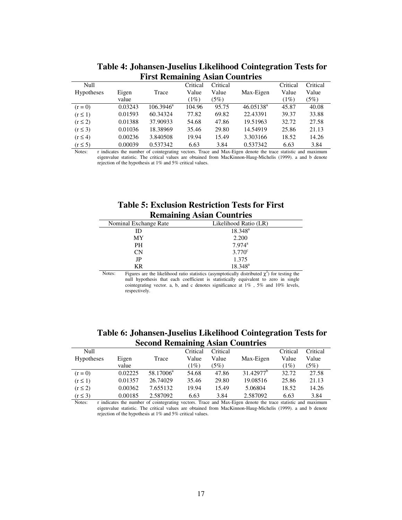|                   |         |              | ੌ        |          |              |          |          |
|-------------------|---------|--------------|----------|----------|--------------|----------|----------|
| Null              |         |              | Critical | Critical |              | Critical | Critical |
| <b>Hypotheses</b> | Eigen   | Trace        | Value    | Value    | Max-Eigen    | Value    | Value    |
|                   | value   |              | (1%)     | (5%)     |              | (1%)     | (5%)     |
| $(r=0)$           | 0.03243 | $106.3946^a$ | 104.96   | 95.75    | $46.05138^a$ | 45.87    | 40.08    |
| $(r \leq 1)$      | 0.01593 | 60.34324     | 77.82    | 69.82    | 22.43391     | 39.37    | 33.88    |
| $(r \leq 2)$      | 0.01388 | 37.90933     | 54.68    | 47.86    | 19.51963     | 32.72    | 27.58    |
| $(r \leq 3)$      | 0.01036 | 18.38969     | 35.46    | 29.80    | 14.54919     | 25.86    | 21.13    |
| $(r \leq 4)$      | 0.00236 | 3.840508     | 19.94    | 15.49    | 3.303166     | 18.52    | 14.26    |
| $(r \leq 5)$      | 0.00039 | 0.537342     | 6.63     | 3.84     | 0.537342     | 6.63     | 3.84     |

**Table 4: Johansen-Juselius Likelihood Cointegration Tests for First Remaining Asian Countries**

Notes: r indicates the number of cointegrating vectors. Trace and Max-Eigen denote the trace statistic and maximum eigenvalue statistic. The critical values are obtained from MacKinnon-Haug-Michelis (1999). a and b denote rejection of the hypothesis at 1% and 5% critical values.

|  | <b>Table 5: Exclusion Restriction Tests for First</b>                                                         |  |
|--|---------------------------------------------------------------------------------------------------------------|--|
|  | $\mathbf{D}_{\alpha}$ $\mathbf{D}_{\alpha}$ $\mathbf{D}_{\alpha}$ $\mathbf{D}_{\alpha}$ $\mathbf{D}_{\alpha}$ |  |

| <b>Remaining Asian Countries</b> |                                                                                                    |  |  |  |
|----------------------------------|----------------------------------------------------------------------------------------------------|--|--|--|
| Nominal Exchange Rate            | Likelihood Ratio (LR)                                                                              |  |  |  |
| ID                               | $18.348^{\circ}$                                                                                   |  |  |  |
| MY                               | 2.200                                                                                              |  |  |  |
| PН                               | $7.974$ <sup>a</sup>                                                                               |  |  |  |
| <b>CN</b>                        | $3.770^{\circ}$                                                                                    |  |  |  |
| JP                               | 1.375                                                                                              |  |  |  |
| KR                               | $18.348^{a}$                                                                                       |  |  |  |
| Notes:                           | Figures are the likelihood ratio statistics (asymptotically distributed $\chi^2$ ) for testing the |  |  |  |

null hypothesis that each coefficient is statistically equivalent to zero in single cointegrating vector. a, b, and c denotes significance at 1% , 5% and 10% levels, respectively.

| Table 6: Johansen-Juselius Likelihood Cointegration Tests for |
|---------------------------------------------------------------|
| <b>Second Remaining Asian Countries</b>                       |

| Null              |         |                       | Critical | Critical |                       | Critical | Critical |
|-------------------|---------|-----------------------|----------|----------|-----------------------|----------|----------|
| <b>Hypotheses</b> | Eigen   | Trace                 | Value    | Value    | Max-Eigen             | Value    | Value    |
|                   | value   |                       | (1%)     | (5%)     |                       | (1%)     | (5%)     |
| $(r=0)$           | 0.02225 | 58.17006 <sup>a</sup> | 54.68    | 47.86    | 31.42977 <sup>b</sup> | 32.72    | 27.58    |
| $(r \leq 1)$      | 0.01357 | 26.74029              | 35.46    | 29.80    | 19.08516              | 25.86    | 21.13    |
| $(r \leq 2)$      | 0.00362 | 7.655132              | 19.94    | 15.49    | 5.06804               | 18.52    | 14.26    |
| $(r \leq 3)$      | 0.00185 | 2.587092              | 6.63     | 3.84     | 2.587092              | 6.63     | 3.84     |

Notes: r indicates the number of cointegrating vectors. Trace and Max-Eigen denote the trace statistic and maximum eigenvalue statistic. The critical values are obtained from MacKinnon-Haug-Michelis (1999). a and b denote rejection of the hypothesis at 1% and 5% critical values.